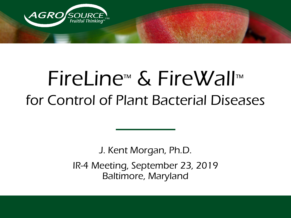

# FireLine™ & FireWall™ for Control of Plant Bacterial Diseases

J. Kent Morgan, Ph.D. IR-4 Meeting, September 23, 2019 Baltimore, Maryland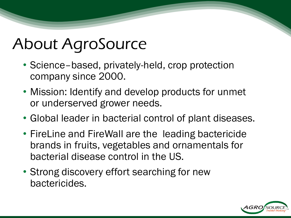## About AgroSource

- Science–based, privately-held, crop protection company since 2000.
- Mission: Identify and develop products for unmet or underserved grower needs.
- Global leader in bacterial control of plant diseases.
- FireLine and FireWall are the leading bactericide brands in fruits, vegetables and ornamentals for bacterial disease control in the US.
- Strong discovery effort searching for new bactericides.

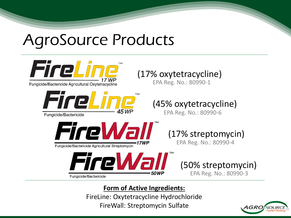## AgroSource Products



**Form of Active Ingredients:**

FireLine: Oxytetracycline Hydrochloride FireWall: Streptomycin Sulfate

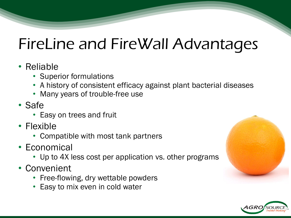#### FireLine and FireWall Advantages

#### • Reliable

- Superior formulations
- A history of consistent efficacy against plant bacterial diseases
- Many years of trouble-free use
- Safe
	- Easy on trees and fruit
- Flexible
	- Compatible with most tank partners
- Economical
	- Up to 4X less cost per application vs. other programs
- Convenient
	- Free-flowing, dry wettable powders
	- **Easy to mix even in cold water**



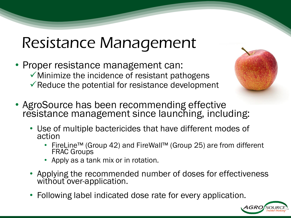#### Resistance Management

- Proper resistance management can:  $\checkmark$  Minimize the incidence of resistant pathogens  $\checkmark$  Reduce the potential for resistance development
- AgroSource has been recommending effective resistance management since launching, including:
	- Use of multiple bactericides that have different modes of action
		- FireLine™ (Group 42) and FireWall™ (Group 25) are from different FRAC Groups
		- Apply as a tank mix or in rotation.
	- Applying the recommended number of doses for effectiveness without over-application.
	- Following label indicated dose rate for every application.